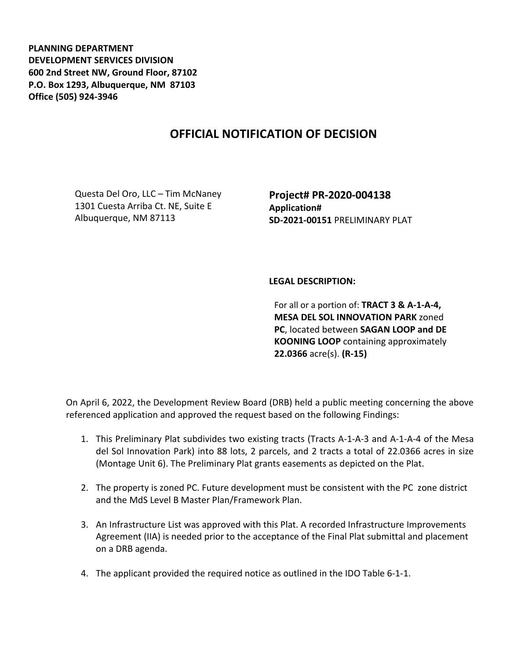**PLANNING DEPARTMENT DEVELOPMENT SERVICES DIVISION 600 2nd Street NW, Ground Floor, 87102 P.O. Box 1293, Albuquerque, NM 87103 Office (505) 924-3946** 

## **OFFICIAL NOTIFICATION OF DECISION**

Questa Del Oro, LLC – Tim McNaney 1301 Cuesta Arriba Ct. NE, Suite E Albuquerque, NM 87113

**Project# PR-2020-004138 Application# SD-2021-00151** PRELIMINARY PLAT

## **LEGAL DESCRIPTION:**

For all or a portion of: **TRACT 3 & A-1-A-4, MESA DEL SOL INNOVATION PARK** zoned **PC**, located between **SAGAN LOOP and DE KOONING LOOP** containing approximately **22.0366** acre(s). **(R-15)**

On April 6, 2022, the Development Review Board (DRB) held a public meeting concerning the above referenced application and approved the request based on the following Findings:

- 1. This Preliminary Plat subdivides two existing tracts (Tracts A-1-A-3 and A-1-A-4 of the Mesa del Sol Innovation Park) into 88 lots, 2 parcels, and 2 tracts a total of 22.0366 acres in size (Montage Unit 6). The Preliminary Plat grants easements as depicted on the Plat.
- 2. The property is zoned PC. Future development must be consistent with the PC zone district and the MdS Level B Master Plan/Framework Plan.
- 3. An Infrastructure List was approved with this Plat. A recorded Infrastructure Improvements Agreement (IIA) is needed prior to the acceptance of the Final Plat submittal and placement on a DRB agenda.
- 4. The applicant provided the required notice as outlined in the IDO Table 6-1-1.